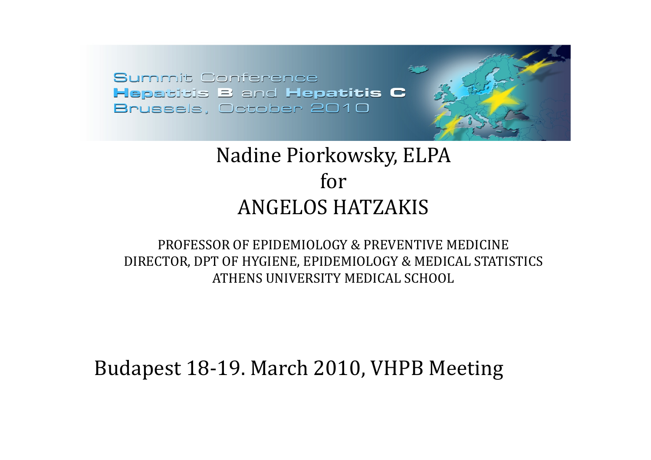## Nadine Piorkowsky, ELPA forANGELOS HATZAKIS

#### PROFESSOR OF EPIDEMIOLOGY & PREVENTIVE MEDICINEDIRECTOR, DPT OF HYGIENE, EPIDEMIOLOGY & MEDICAL STATISTICS ATHENS UNIVERSITY MEDICAL SCHOOL

### Budapest 18‐19. March 2010, VHPB Meeting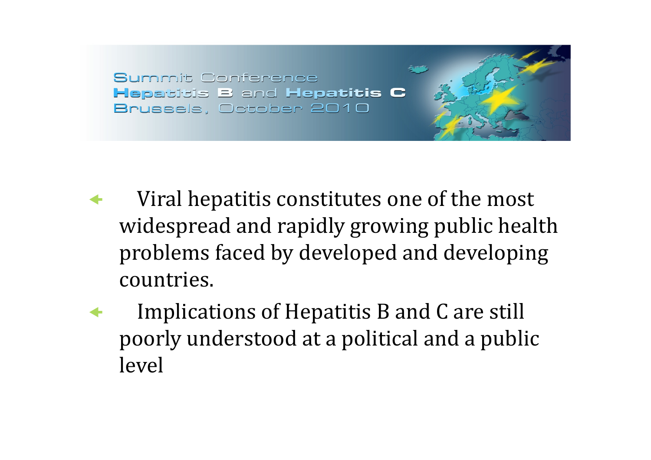- $\blacklozenge$  Viral hepatitis constitutes one of the most widespread and rapidly growing public health problems faced by developed and developing countries.
- $\blacklozenge$  Implications of Hepatitis B and C are still poorly understood at a political and a public level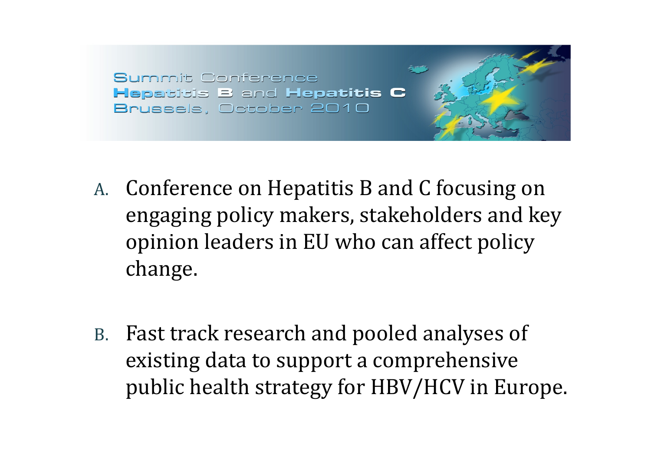- A. Conference on Hepatitis B and C focusing on engaging policy makers, stakeholders and key opinion leaders in EU who can affect policy change.
- B. Fast track research and pooled analyses of existing data to support a comprehensive public health strategy for HBV/HCV in Europe.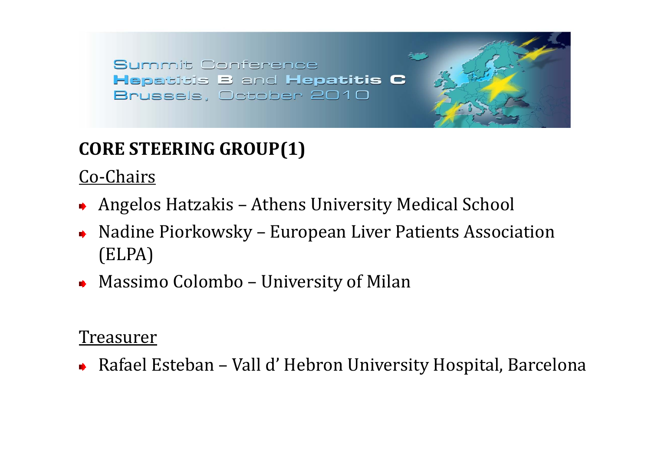## **CORE STEERING GROUP(1)**

Co‐Chairs

- ◆ Angelos Hatzakis Athens University Medical School
- ◆ Nadine Piorkowsky European Liver Patients Association (ELPA)
- Massimo Colombo University of Milan

#### Treasurer

Rafael Esteban – Vall d' Hebron University Hospital, Barcelona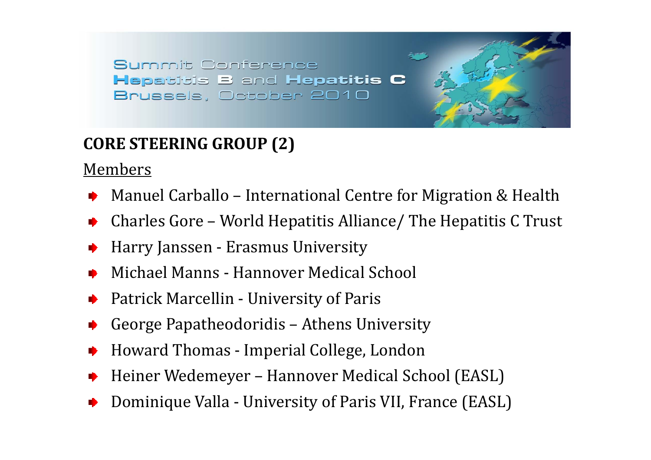#### **CORE STEERING GROUP (2)**

Members

- Manuel Carballo International Centre for Migration & Health
- Charles Gore World Hepatitis Alliance/ The Hepatitis C Trust
- Harry Janssen ‐ Erasmus University
- Michael Manns ‐ Hannover Medical School
- Patrick Marcellin ‐ University of Paris
- George Papatheodoridis Athens University
- Howard Thomas ‐ Imperial College, London
- Heiner Wedemeyer Hannover Medical School (EASL)
- Dominique Valla ‐ University of Paris VII, France (EASL)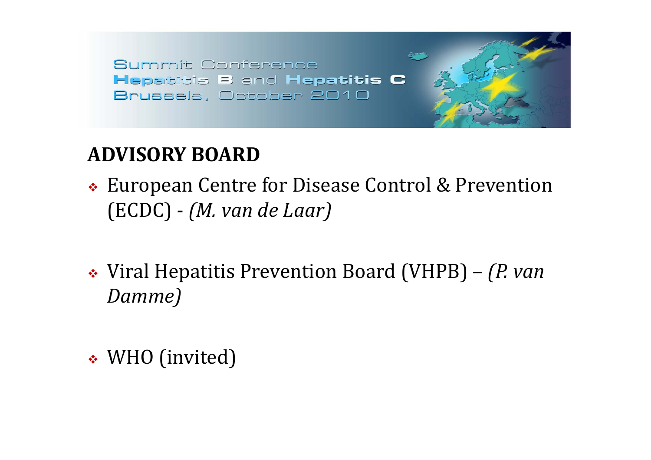# **ADVISORY BOARD**

- European Centre for Disease Control & Prevention (ECDC) ‐ *(M. van de Laar)*
- Viral Hepatitis Prevention Board (VHPB) *(P. van Damme)*
- WHO (invited)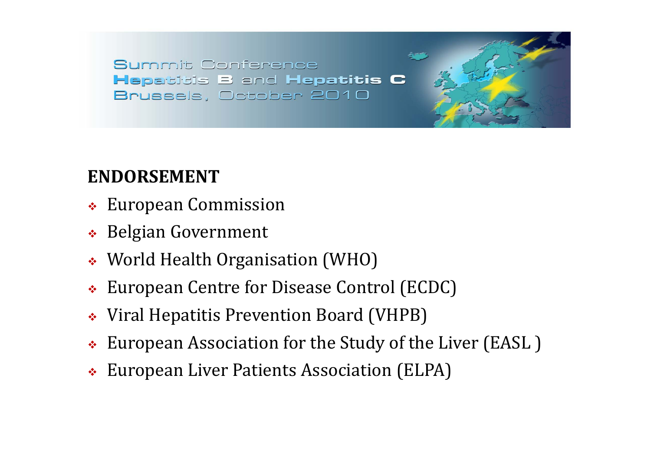## **ENDORSEMENT**

- European Commission
- Belgian Government
- World Health Organisation (WHO)
- European Centre for Disease Control (ECDC)
- Viral Hepatitis Prevention Board (VHPB)
- European Association for the Study of the Liver (EASL )
- European Liver Patients Association (ELPA)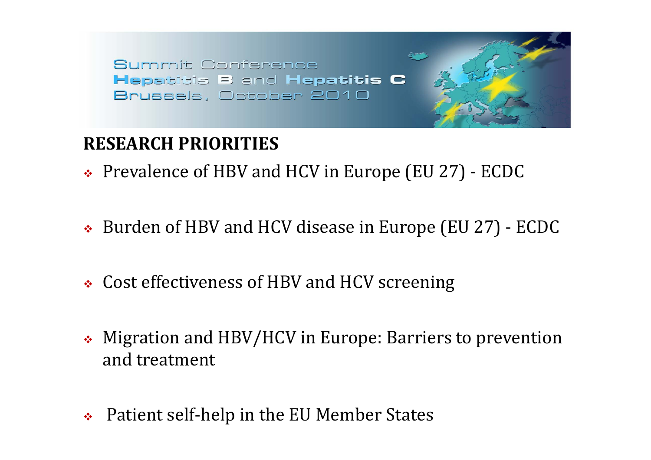### **RESEARCH PRIORITIES**

- Prevalence of HBV and HCV in Europe (EU 27) ‐ ECDC
- Burden of HBV and HCV disease in Europe (EU 27) ‐ ECDC
- Cost effectiveness of HBV and HCV screening
- Migration and HBV/HCV in Europe: Barriers to prevention and treatment
- ❖ Patient self‐help in the EU Member States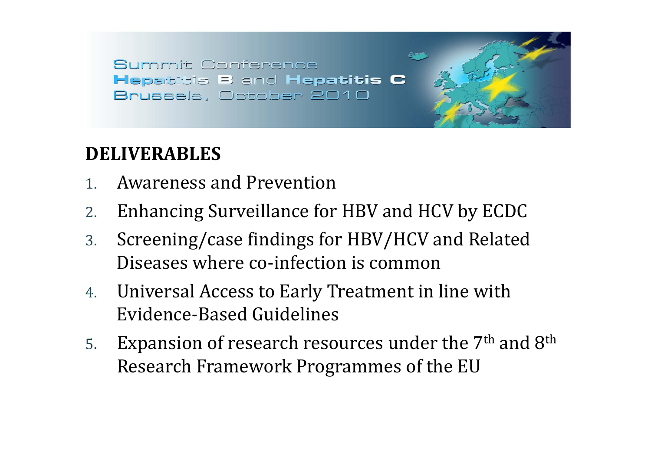#### **DELIVERABLES**

- 1.Awareness and Prevention
- 2.Enhancing Surveillance for HBV and HCV by ECDC
- 3. Screening/case findings for HBV/HCV and Related Diseases where co-infection is common
- 4. Universal Access to Early Treatment in line with Evidence‐Based Guidelines
- 5.Expansion of research resources under the 7<sup>th</sup> and 8<sup>th</sup> Research Framework Programmes of the EU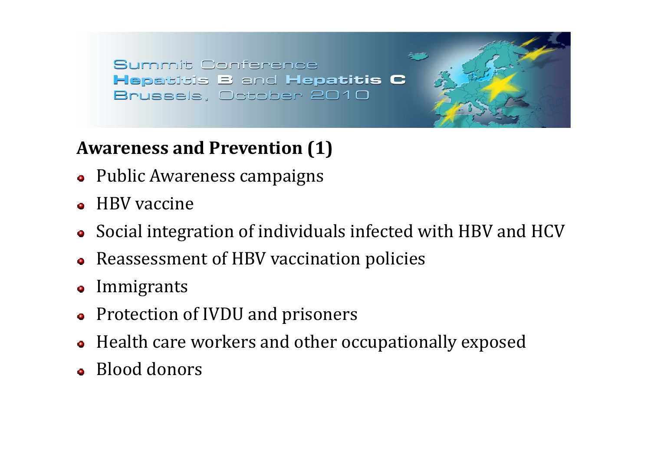## **Awareness and Prevention (1)**

- Public Awareness campaigns
- HBV vaccine
- Social integration of individuals infected with HBV and HCV
- Reassessment of HBV vaccination policies
- Immigrants
- Protection of IVDU and prisoners
- Health care workers and other occupationally exposed
- Blood donors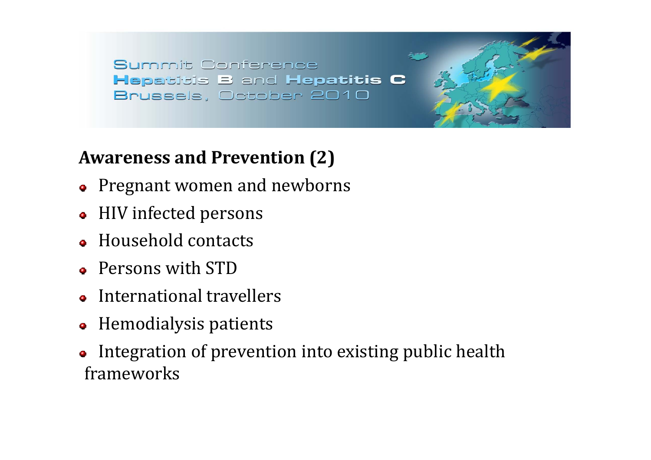#### **Awareness and Prevention (2)**

- Pregnant women and newborns
- HIV infected persons
- Household contacts
- Persons with STD
- International travellers
- Hemodialysis patients
- Integration of prevention into existing public health frameworks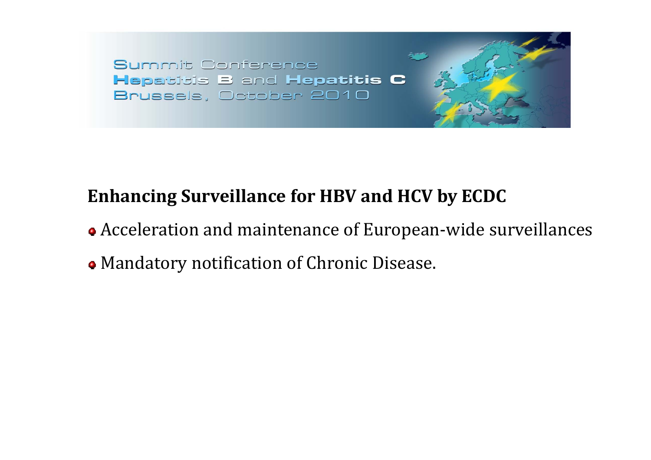## **Enhancing Surveillance for HBV and HCV by ECDC**

- Acceleration and maintenance of European-wide surveillances
- Mandatory notification o f Chronic Disease.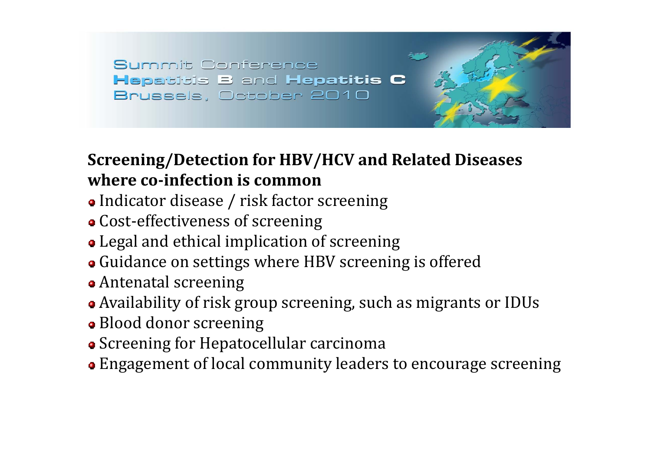#### **Screening/Detection for HBV/HCV and Related Diseases where coinfection is common**

- Indicator disease / risk factor screening
- Cost‐effecti v eness of screening
- Leg al and ethical implication of screening
- Guidance on settings wher e HB V screening is offered
- Ant enatal screening
- Availability of risk group screening, such as migrants or IDUs
- Blood donor screening
- Screening for Hepat ocellular carcinoma
- Eng agemen<sup>t</sup> of local community leaders t o encourage screening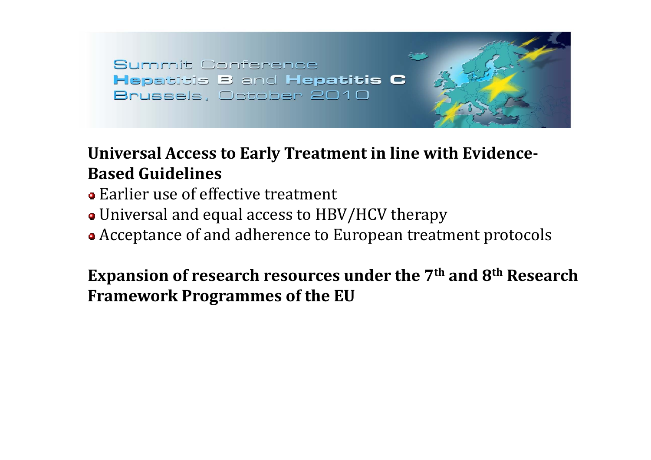**Universal Access to Early Treatment in line with Evidence-Based Guidelines**

- Earlier use of effective treatment
- Universal and equal access to HBV/HCV therapy
- Acceptance of and adherence to European treatment protocols

**Expansion of research resources under the 7th and 8th Research Framework Programmes of the EU**